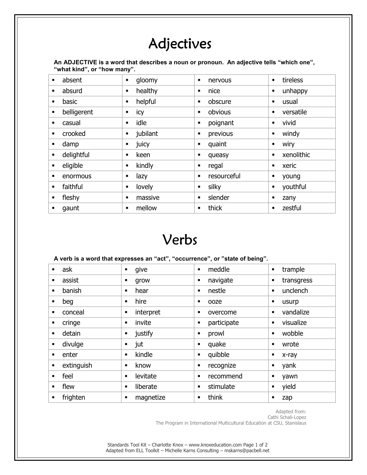## Adjectives

**An ADJECTIVE is a word that describes a noun or pronoun. An adjective tells "which one", "what kind", or "how many".** 

| $\blacksquare$ | absent      | gloomy<br>٠               | nervous<br>$\blacksquare$ | tireless<br>$\blacksquare$   |
|----------------|-------------|---------------------------|---------------------------|------------------------------|
| ٠              | absurd      | healthy<br>٠              | nice<br>п                 | unhappy<br>$\blacksquare$    |
| ٠              | basic       | helpful<br>$\blacksquare$ | obscure<br>٠              | usual<br>$\blacksquare$      |
| ٠              | belligerent | icy<br>٠                  | obvious<br>٠              | versatile<br>п               |
| п              | casual      | idle<br>٠                 | poignant<br>п             | vivid<br>п                   |
| $\blacksquare$ | crooked     | jubilant<br>٠             | previous<br>п             | windy<br>п                   |
| П              | damp        | juicy<br>٠                | quaint<br>٠               | wiry<br>$\blacksquare$       |
| ٠              | delightful  | keen<br>$\blacksquare$    | queasy<br>п               | xenolithic<br>$\blacksquare$ |
| $\blacksquare$ | eligible    | kindly<br>٠               | regal<br>п                | xeric<br>$\blacksquare$      |
| ٠              | enormous    | lazy<br>٠                 | resourceful<br>п          | young<br>п                   |
| $\blacksquare$ | faithful    | lovely<br>٠               | silky<br>$\blacksquare$   | youthful<br>$\blacksquare$   |
| $\blacksquare$ | fleshy      | massive<br>٠              | slender<br>$\blacksquare$ | zany<br>п                    |
| п              | gaunt       | mellow<br>٠               | thick<br>$\blacksquare$   | zestful<br>$\blacksquare$    |

## Verbs

#### **A verb is a word that expresses an "act", "occurrence", or "state of being".**

| $\blacksquare$ | ask        | give<br>٠                  | meddle<br>$\blacksquare$    | trample<br>$\blacksquare$    |
|----------------|------------|----------------------------|-----------------------------|------------------------------|
| п              | assist     | grow<br>п                  | navigate<br>п               | transgress<br>$\blacksquare$ |
| п              | banish     | hear<br>п                  | nestle<br>$\blacksquare$    | unclench<br>$\blacksquare$   |
|                | beg        | hire<br>$\blacksquare$     | ooze<br>■                   | usurp<br>п                   |
|                | conceal    | interpret<br>п             | overcome<br>■               | vandalize<br>$\blacksquare$  |
| ■              | cringe     | invite<br>п                | participate<br>٠            | visualize<br>$\blacksquare$  |
| $\blacksquare$ | detain     | justify<br>٠               | prowl<br>П                  | wobble<br>$\blacksquare$     |
| $\blacksquare$ | divulge    | jut<br>п                   | quake<br>■                  | wrote<br>$\blacksquare$      |
| ٠              | enter      | kindle<br>$\blacksquare$   | quibble<br>٠                | x-ray<br>п                   |
| $\blacksquare$ | extinguish | know<br>п                  | recognize<br>П              | yank<br>٠                    |
|                | feel       | levitate<br>$\blacksquare$ | recommend<br>■              | yawn<br>п                    |
|                | flew       | liberate<br>$\blacksquare$ | stimulate<br>$\blacksquare$ | yield<br>$\blacksquare$      |
|                | frighten   | magnetize<br>п             | think<br>■                  | zap<br>п                     |

Adapted from:

Cathi Schali-Lopez

The Program in International Multicultural Education at CSU, Stanislaus

Standards Tool Kit – Charlotte Knox – www.knoxeducation.com Page 1 of 2 Adapted from ELL Toolkit – Michelle Karns Consulting – mskarns@pacbell.net